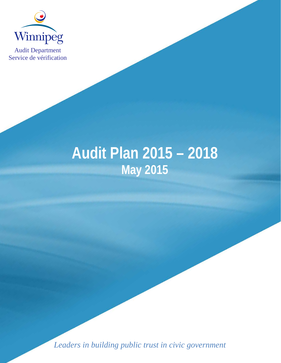

Audit Department Service de vérification

# **Audit Plan 2015 – 2018 May 2015**

*Leaders in building public trust in civic government*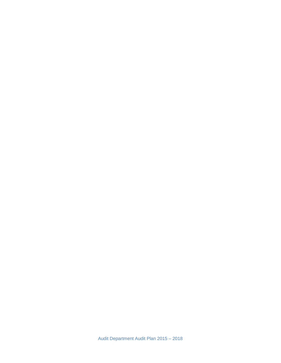Audit Department Audit Plan 2015 – 2018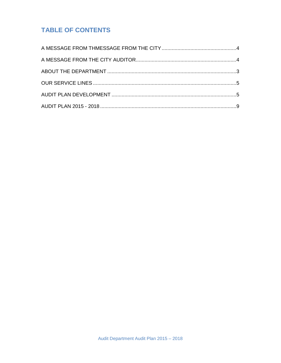# **TABLE OF CONTENTS**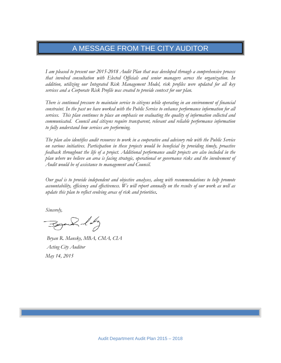## <span id="page-3-1"></span><span id="page-3-0"></span>A MESSAGE FROM THE CITY AUDITOR

*I am pleased to present our 2015-2018 Audit Plan that was developed through a comprehensive process that involved consultation with Elected Officials and senior managers across the organization. In addition, utilizing our Integrated Risk Management Model, risk profiles were updated for all key services and a Corporate Risk Profile was created to provide context for our plan.* 

*There is continued pressure to maintain service to citizens while operating in an environment of financial constraint. In the past we have worked with the Public Service to enhance performance information for all services. This plan continues to place an emphasis on evaluating the quality of information collected and communicated. Council and citizens require transparent, relevant and reliable performance information to fully understand how services are performing.*

*The plan also identifies audit resources to work in a cooperative and advisory role with the Public Service on various initiatives. Participation in these projects would be beneficial by providing timely, proactive feedback throughout the life of a project. Additional performance audit projects are also included in the plan where we believe an area is facing strategic, operational or governance risks and the involvement of Audit would be of assistance to management and Council.*

*Our goal is to provide independent and objective analyses, along with recommendations to help promote accountability, efficiency and effectiveness. We will report annually on the results of our work as well as update this plan to reflect evolving areas of risk and priorities*.

 *Sincerely,*

 $2d$ 

 *Bryan R. Mansky, MBA, CMA, CIA Acting City Auditor May 14, 2015*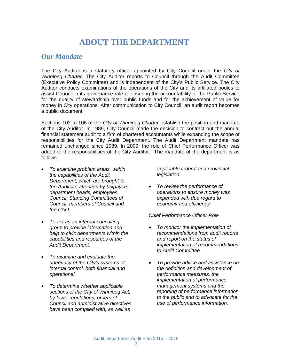# **ABOUT THE DEPARTMENT**

#### <span id="page-4-0"></span>*Our Mandate*

The City Auditor is a statutory officer appointed by City Council under the *City of Winnipeg Charter*. The City Auditor reports to Council through the Audit Committee (Executive Policy Committee) and is independent of the City's Public Service. The City Auditor conducts examinations of the operations of the City and its affiliated bodies to assist Council in its governance role of ensuring the accountability of the Public Service for the quality of stewardship over public funds and for the achievement of value for money in City operations. After communication to City Council, an audit report becomes a public document.

Sections 102 to 106 of the *City of Winnipeg Charter* establish the position and mandate of the City Auditor. In 1989, City Council made the decision to contract out the annual financial statement audit to a firm of chartered accountants while expanding the scope of responsibilities for the City Audit Department. The Audit Department mandate has remained unchanged since 1989. In 2009, the role of Chief Performance Officer was added to the responsibilities of the City Auditor. The mandate of the department is as follows:

- *To examine problem areas, within the capabilities of the Audit Department, which are brought to the Auditor's attention by taxpayers, department heads, employees, Council, Standing Committees of Council, members of Council and the CAO.*
- *To act as an internal consulting group to provide information and help to civic departments within the capabilities and resources of the Audit Department.*
- *To examine and evaluate the adequacy of the City's systems of internal control, both financial and operational.*
- *To determine whether applicable sections of the City of Winnipeg Act, by-laws, regulations, orders of Council and administrative directives have been complied with, as well as*

*applicable federal and provincial legislation.*

• *To review the performance of operations to ensure money was expended with due regard to economy and efficiency.*

*Chief Performance Officer Role*

- *To monitor the implementation of recommendations from audit reports and report on the status of implementation of recommendations to Audit Committee*
- *To provide advice and assistance on the definition and development of performance measures, the implementation of performance management systems and the reporting of performance information to the public and to advocate for the use of performance information.*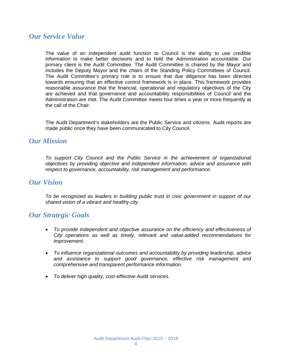## *Our Service Value*

The value of an independent audit function to Council is the ability to use credible information to make better decisions and to hold the Administration accountable. Our primary client is the Audit Committee. The Audit Committee is chaired by the Mayor and includes the Deputy Mayor and the chairs of the Standing Policy Committees of Council. The Audit Committee's primary role is to ensure that due diligence has been directed towards ensuring that an effective control framework is in place. This framework provides reasonable assurance that the financial, operational and regulatory objectives of the City are achieved and that governance and accountability responsibilities of Council and the Administration are met. The Audit Committee meets four times a year or more frequently at the call of the Chair.

The Audit Department's stakeholders are the Public Service and citizens. Audit reports are made public once they have been communicated to City Council.

## *Our Mission*

*To support City Council and the Public Service in the achievement of organizational objectives by providing objective and independent information, advice and assurance with respect to governance, accountability, risk management and performance.*

## *Our Vision*

*To be recognized as leaders in building public trust in civic government in support of our shared vision of a vibrant and healthy city.* 

## *Our Strategic Goals*

- *To provide independent and objective assurance on the efficiency and effectiveness of City operations as well as timely, relevant and value-added recommendations for improvement.*
- *To influence organizational outcomes and accountability by providing leadership, advice and assistance to support good governance, effective risk management and comprehensive and transparent performance information.*
- *To deliver high quality, cost-effective Audit services.*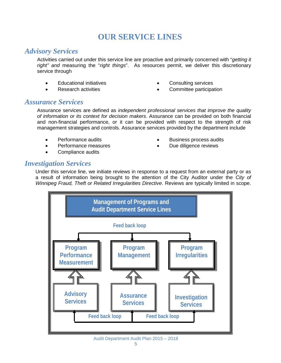# **OUR SERVICE LINES**

#### <span id="page-6-0"></span>*Advisory Services*

Activities carried out under this service line are proactive and primarily concerned with "*getting it right" and* measuring the "*right things*". As resources permit, we deliver this discretionary service through

- Educational initiatives
- Research activities
- Consulting services
- Committee participation

## *Assurance Services*

Assurance services are defined as *independent professional services that improve the quality of information or its context for decision makers*. Assurance can be provided on both financial and non-financial performance, or it can be provided with respect to the strength of risk management strategies and controls. Assurance services provided by the department include

- Performance audits
- Performance measures
- Compliance audits
- Business process audits
- Due diligence reviews

## *Investigation Services*

Under this service line, we initiate reviews in response to a request from an external party or as a result of information being brought to the attention of the City Auditor under the *City of Winnipeg Fraud, Theft or Related Irregularities Directive*. Reviews are typically limited in scope.

<span id="page-6-1"></span>

#### Audit Department Audit Plan 2015 – 2018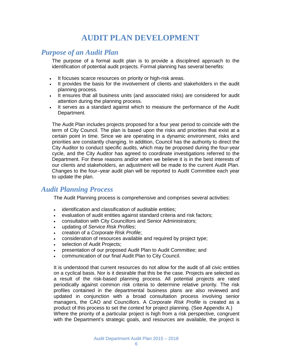# **AUDIT PLAN DEVELOPMENT**

#### *Purpose of an Audit Plan*

The purpose of a formal audit plan is to provide a disciplined approach to the identification of potential audit projects. Formal planning has several benefits:

- It focuses scarce resources on priority or high-risk areas.
- It provides the basis for the involvement of clients and stakeholders in the audit planning process.
- It ensures that all business units (and associated risks) are considered for audit attention during the planning process.
- It serves as a standard against which to measure the performance of the Audit Department.

The Audit Plan includes projects proposed for a four year period to coincide with the term of City Council. The plan is based upon the risks and priorities that exist at a certain point in time. Since we are operating in a dynamic environment, risks and priorities are constantly changing. In addition, Council has the authority to direct the City Auditor to conduct specific audits, which may be proposed during the four-year cycle, and the City Auditor has agreed to coordinate investigations referred to the Department. For these reasons and/or when we believe it is in the best interests of our clients and stakeholders, an adjustment will be made to the current Audit Plan. Changes to the four–year audit plan will be reported to Audit Committee each year to update the plan.

#### *Audit Planning Process*

The Audit Planning process is comprehensive and comprises several activities:

- identification and classification of auditable entities;
- evaluation of audit entities against standard criteria and risk factors;
- consultation with City Councillors and Senior Administrators;
- updating of *Service Risk Profiles*;
- creation of a *Corporate Risk Profile*;
- consideration of resources available and required by project type;
- selection of Audit Projects;
- presentation of our proposed Audit Plan to Audit Committee; and
- communication of our final Audit Plan to City Council.

It is understood that current resources do not allow for the audit of all civic entities on a cyclical basis. Nor is it desirable that this be the case. Projects are selected as a result of the risk-based planning process. All potential projects are rated periodically against common risk criteria to determine relative priority. The risk profiles contained in the departmental business plans are also reviewed and updated in conjunction with a broad consultation process involving senior managers, the CAO and Councillors. A *Corporate Risk Profile* is created as a product of this process to set the context for project planning. (See Appendix A.) Where the priority of a particular project is high from a risk perspective, congruent with the Department's strategic goals, and resources are available, the project is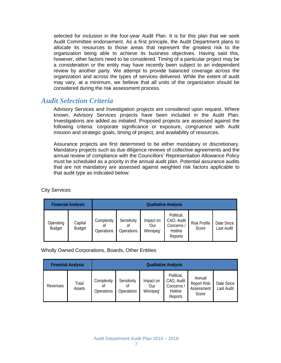selected for inclusion in the four-year Audit Plan*.* It is for this plan that we seek Audit Committee endorsement. As a first principle, the Audit Department plans to allocate its resources to those areas that represent the greatest risk to the organization being able to achieve its business objectives. Having said this, however, other factors need to be considered. Timing of a particular project may be a consideration or the entity may have recently been subject to an independent review by another party. We attempt to provide balanced coverage across the organization and across the types of services delivered. While the extent of audit may vary, at a minimum, we believe that all units of the organization should be considered during the risk assessment process.

## *Audit Selection Criteria*

Advisory Services and Investigation projects are considered upon request. Where known, Advisory Services projects have been included in the Audit Plan. Investigations are added as initiated. Proposed projects are assessed against the following criteria: corporate significance or exposure, congruence with Audit mission and strategic goals, timing of project, and availability of resources.

Assurance projects are first determined to be either mandatory or discretionary. Mandatory projects such as due diligence reviews of collective agreements and the annual review of compliance with the Councillors' Representation Allowance Policy must be scheduled as a priority in the annual audit plan. Potential assurance audits that are not mandatory are assessed against weighted risk factors applicable to that audit type as indicated below:

City Services

|                            | <b>Financial Analysis</b> | <b>Qualitative Analysis</b>    |                                        |                                |                                                             |                              |                          |
|----------------------------|---------------------------|--------------------------------|----------------------------------------|--------------------------------|-------------------------------------------------------------|------------------------------|--------------------------|
| Operating<br><b>Budget</b> | Capital<br><b>Budget</b>  | Complexity<br>0ľ<br>Operations | Sensitivity<br>Ωt<br><b>Operations</b> | Impact on<br>'Our<br>Winnipeg' | Political,<br>CAO, Audit<br>Concerns/<br>Hotline<br>Reports | <b>Risk Profile</b><br>Score | Date Since<br>Last Audit |

Wholly Owned Corporations, Boards, Other Entities

|          | <b>Financial Analysis</b> | <b>Qualitative Analysis</b>    |                                 |                                |                                                              |                                                     |                          |
|----------|---------------------------|--------------------------------|---------------------------------|--------------------------------|--------------------------------------------------------------|-----------------------------------------------------|--------------------------|
| Revenues | Total<br>Assets           | Complexity<br>οf<br>Operations | Sensitivity<br>Οf<br>Operations | Impact on<br>'Our<br>Winnipeg' | Political,<br>CAO, Audit<br>Concerns /<br>Hotline<br>Reports | Annual<br><b>Report Risk</b><br>Assessment<br>Score | Date Since<br>Last Audit |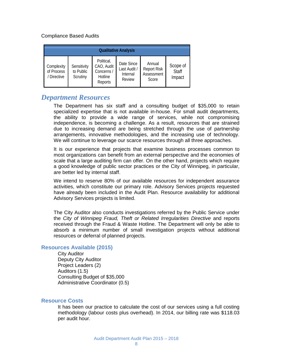#### Compliance Based Audits

| <b>Qualitative Analysis</b>             |                                      |                                                              |                                                  |                                                     |                                    |  |
|-----------------------------------------|--------------------------------------|--------------------------------------------------------------|--------------------------------------------------|-----------------------------------------------------|------------------------------------|--|
| Complexity<br>of Process<br>/ Directive | Sensitivity<br>to Public<br>Scrutiny | Political,<br>CAO, Audit<br>Concerns /<br>Hotline<br>Reports | Date Since<br>Last Audit /<br>Internal<br>Review | Annual<br><b>Report Risk</b><br>Assessment<br>Score | Scope of<br><b>Staff</b><br>Impact |  |

#### *Department Resources*

The Department has six staff and a consulting budget of \$35,000 to retain specialized expertise that is not available in-house. For small audit departments, the ability to provide a wide range of services, while not compromising independence, is becoming a challenge. As a result, resources that are strained due to increasing demand are being stretched through the use of partnership arrangements, innovative methodologies, and the increasing use of technology. We will continue to leverage our scarce resources through all three approaches.

It is our experience that projects that examine business processes common to most organizations can benefit from an external perspective and the economies of scale that a large auditing firm can offer. On the other hand, projects which require a good knowledge of public sector practices or the City of Winnipeg, in particular, are better led by internal staff.

We intend to reserve 80% of our available resources for independent assurance activities, which constitute our primary role. Advisory Services projects requested have already been included in the Audit Plan. Resource availability for additional Advisory Services projects is limited.

The City Auditor also conducts investigations referred by the Public Service under the *City of Winnipeg Fraud, Theft or Related Irregularities Directive* and reports received through the Fraud & Waste Hotline. The Department will only be able to absorb a minimum number of small investigation projects without additional resources or deferral of planned projects.

#### **Resources Available (2015)**

City Auditor Deputy City Auditor Project Leaders (2) Auditors (1.5) Consulting Budget of \$35,000 Administrative Coordinator (0.5)

#### **Resource Costs**

It has been our practice to calculate the cost of our services using a full costing methodology (labour costs plus overhead). In 2014, our billing rate was \$118.03 per audit hour.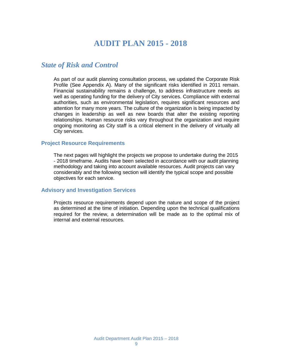# **AUDIT PLAN 2015 - 2018**

#### <span id="page-10-0"></span>*State of Risk and Control*

As part of our audit planning consultation process, we updated the Corporate Risk Profile (See Appendix A). Many of the significant risks identified in 2011 remain. Financial sustainability remains a challenge, to address infrastructure needs as well as operating funding for the delivery of City services. Compliance with external authorities, such as environmental legislation, requires significant resources and attention for many more years. The culture of the organization is being impacted by changes in leadership as well as new boards that alter the existing reporting relationships. Human resource risks vary throughout the organization and require ongoing monitoring as City staff is a critical element in the delivery of virtually all City services.

#### **Project Resource Requirements**

The next pages will highlight the projects we propose to undertake during the 2015 - 2018 timeframe. Audits have been selected in accordance with our audit planning methodology and taking into account available resources. Audit projects can vary considerably and the following section will identify the typical scope and possible objectives for each service.

#### **Advisory and Investigation Services**

Projects resource requirements depend upon the nature and scope of the project as determined at the time of initiation. Depending upon the technical qualifications required for the review, a determination will be made as to the optimal mix of internal and external resources.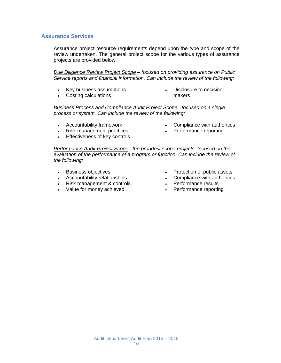#### **Assurance Services**

Assurance project resource requirements depend upon the type and scope of the review undertaken. The general project scope for the various types of assurance projects are provided below:

*Due Diligence Review Project Scope – focused on providing assurance on Public Service reports and financial information. Can include the review of the following:* 

- Key business assumptions
- Costing calculations

• Disclosure to decisionmakers

*Business Process and Compliance Audit Project Scope –focused on a single process or system. Can include the review of the following:* 

- Accountability framework
- Risk management practices
- Effectiveness of key controls
- Compliance with authorities
- Performance reporting

*Performance Audit Project Scope –the broadest scope projects, focused on the*  evaluation of the performance of a program or function. Can include the review of *the following:*

- Business objectives
- Accountability relationships
- Risk management & controls
- Value for money achieved
- Protection of public assets
- Compliance with authorities
- Performance results
- Performance reporting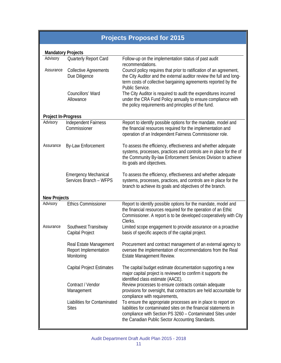| <b>Projects Proposed for 2015</b> |                                                               |                                                                                                                                                                                                                                                      |  |  |  |  |
|-----------------------------------|---------------------------------------------------------------|------------------------------------------------------------------------------------------------------------------------------------------------------------------------------------------------------------------------------------------------------|--|--|--|--|
| <b>Mandatory Projects</b>         |                                                               |                                                                                                                                                                                                                                                      |  |  |  |  |
| Advisory                          | Quarterly Report Card                                         | Follow-up on the implementation status of past audit<br>recommendations.                                                                                                                                                                             |  |  |  |  |
| Assurance                         | <b>Collective Agreements</b><br>Due Diligence                 | Council policy requires that prior to ratification of an agreement,<br>the City Auditor and the external auditor review the full and long-<br>term costs of collective bargaining agreements reported by the<br>Public Service.                      |  |  |  |  |
|                                   | Councillors' Ward<br>Allowance                                | The City Auditor is required to audit the expenditures incurred<br>under the CRA Fund Policy annually to ensure compliance with<br>the policy requirements and principles of the fund.                                                               |  |  |  |  |
| <b>Project In-Progress</b>        |                                                               |                                                                                                                                                                                                                                                      |  |  |  |  |
| Advisory                          | Independent Fairness<br>Commissioner                          | Report to identify possible options for the mandate, model and<br>the financial resources required for the implementation and<br>operation of an Independent Fairness Commissioner role.                                                             |  |  |  |  |
| Assurance                         | By-Law Enforcement                                            | To assess the efficiency, effectiveness and whether adequate<br>systems, processes, practices and controls are in place for the of<br>the Community By-law Enforcement Services Division to achieve<br>its goals and objectives.                     |  |  |  |  |
|                                   | <b>Emergency Mechanical</b><br>Services Branch - WFPS         | To assess the efficiency, effectiveness and whether adequate<br>systems, processes, practices, and controls are in place for the<br>branch to achieve its goals and objectives of the branch.                                                        |  |  |  |  |
| <b>New Projects</b>               |                                                               |                                                                                                                                                                                                                                                      |  |  |  |  |
| Advisory                          | <b>Ethics Commissioner</b>                                    | Report to identify possible options for the mandate, model and<br>the financial resources required for the operation of an Ethic<br>Commissioner. A report is to be developed cooperatively with City<br>Clerks.                                     |  |  |  |  |
| Assurance                         | Southwest Transitway<br>Capital Project                       | Limited scope engagement to provide assurance on a proactive<br>basis of specific aspects of the capital project.                                                                                                                                    |  |  |  |  |
|                                   | Real Estate Management<br>Report Implementation<br>Monitoring | Procurement and contract management of an external agency to<br>oversee the implementation of recommendations from the Real<br>Estate Management Review.                                                                                             |  |  |  |  |
|                                   | <b>Capital Project Estimates</b>                              | The capital budget estimate documentation supporting a new<br>major capital project is reviewed to confirm it supports the<br>identified class estimate (AACE).                                                                                      |  |  |  |  |
|                                   | Contract / Vendor<br>Management                               | Review processes to ensure contracts contain adequate<br>provisions for oversight, that contractors are held accountable for<br>compliance with requirements,                                                                                        |  |  |  |  |
|                                   | Liabilities for Contaminated<br><b>Sites</b>                  | To ensure the appropriate processes are in place to report on<br>liabilities for contaminated sites on the financial statements in<br>compliance with Section PS 3260 - Contaminated Sites under<br>the Canadian Public Sector Accounting Standards. |  |  |  |  |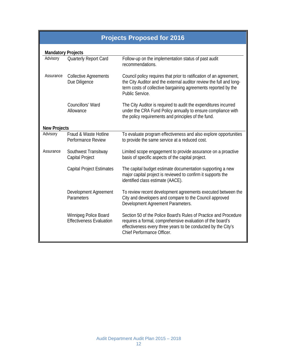| <b>Projects Proposed for 2016</b> |                                                          |                                                                                                                                                                                                                                 |  |  |  |  |
|-----------------------------------|----------------------------------------------------------|---------------------------------------------------------------------------------------------------------------------------------------------------------------------------------------------------------------------------------|--|--|--|--|
| <b>Mandatory Projects</b>         |                                                          |                                                                                                                                                                                                                                 |  |  |  |  |
| Advisory                          | Quarterly Report Card                                    | Follow-up on the implementation status of past audit<br>recommendations.                                                                                                                                                        |  |  |  |  |
| Assurance                         | <b>Collective Agreements</b><br>Due Diligence            | Council policy requires that prior to ratification of an agreement,<br>the City Auditor and the external auditor review the full and long-<br>term costs of collective bargaining agreements reported by the<br>Public Service. |  |  |  |  |
|                                   | Councillors' Ward<br>Allowance                           | The City Auditor is required to audit the expenditures incurred<br>under the CRA Fund Policy annually to ensure compliance with<br>the policy requirements and principles of the fund.                                          |  |  |  |  |
| <b>New Projects</b>               |                                                          |                                                                                                                                                                                                                                 |  |  |  |  |
| Advisory                          | Fraud & Waste Hotline<br>Performance Review              | To evaluate program effectiveness and also explore opportunities<br>to provide the same service at a reduced cost.                                                                                                              |  |  |  |  |
| Assurance                         | Southwest Transitway<br>Capital Project                  | Limited scope engagement to provide assurance on a proactive<br>basis of specific aspects of the capital project.                                                                                                               |  |  |  |  |
|                                   | <b>Capital Project Estimates</b>                         | The capital budget estimate documentation supporting a new<br>major capital project is reviewed to confirm it supports the<br>identified class estimate (AACE).                                                                 |  |  |  |  |
|                                   | Development Agreement<br>Parameters                      | To review recent development agreements executed between the<br>City and developers and compare to the Council approved<br>Development Agreement Parameters.                                                                    |  |  |  |  |
|                                   | Winnipeg Police Board<br><b>Effectiveness Evaluation</b> | Section 50 of the Police Board's Rules of Practice and Procedure<br>requires a formal, comprehensive evaluation of the board's<br>effectiveness every three years to be conducted by the City's<br>Chief Performance Officer.   |  |  |  |  |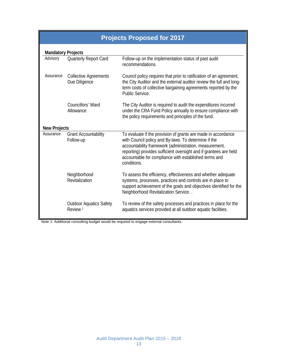| <b>Projects Proposed for 2017</b> |                                                       |                                                                                                                                                                                                                                                                                                                              |  |  |  |  |  |
|-----------------------------------|-------------------------------------------------------|------------------------------------------------------------------------------------------------------------------------------------------------------------------------------------------------------------------------------------------------------------------------------------------------------------------------------|--|--|--|--|--|
|                                   | <b>Mandatory Projects</b>                             |                                                                                                                                                                                                                                                                                                                              |  |  |  |  |  |
| Advisory                          | Quarterly Report Card                                 | Follow-up on the implementation status of past audit<br>recommendations.                                                                                                                                                                                                                                                     |  |  |  |  |  |
| Assurance                         | <b>Collective Agreements</b><br>Due Diligence         | Council policy requires that prior to ratification of an agreement,<br>the City Auditor and the external auditor review the full and long-<br>term costs of collective bargaining agreements reported by the<br>Public Service.                                                                                              |  |  |  |  |  |
|                                   | Councillors' Ward<br>Allowance                        | The City Auditor is required to audit the expenditures incurred<br>under the CRA Fund Policy annually to ensure compliance with<br>the policy requirements and principles of the fund.                                                                                                                                       |  |  |  |  |  |
| <b>New Projects</b>               |                                                       |                                                                                                                                                                                                                                                                                                                              |  |  |  |  |  |
| Assurance                         | <b>Grant Accountability</b><br>Follow-up              | To evaluate if the provision of grants are made in accordance<br>with Council policy and By-laws. To determine if the<br>accountability framework (administration, measurement,<br>reporting) provides sufficient oversight and if grantees are held<br>accountable for compliance with established terms and<br>conditions. |  |  |  |  |  |
|                                   | Neighborhood<br>Revitalization                        | To assess the efficiency, effectiveness and whether adequate<br>systems, processes, practices and controls are in place to<br>support achievement of the goals and objectives identified for the<br>Neighborhood Revitalization Service                                                                                      |  |  |  |  |  |
|                                   | <b>Outdoor Aquatics Safety</b><br>Review <sup>1</sup> | To review of the safety processes and practices in place for the<br>aquatics services provided at all outdoor aquatic facilities.                                                                                                                                                                                            |  |  |  |  |  |

Note 1: Additional consulting budget would be required to engage external consultants.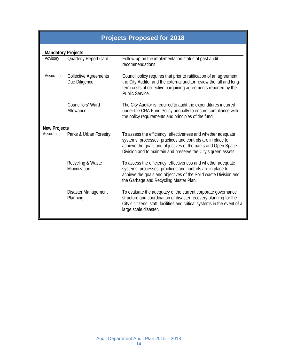| <b>Projects Proposed for 2018</b> |                                               |                                                                                                                                                                                                                                                              |  |  |  |  |
|-----------------------------------|-----------------------------------------------|--------------------------------------------------------------------------------------------------------------------------------------------------------------------------------------------------------------------------------------------------------------|--|--|--|--|
| <b>Mandatory Projects</b>         |                                               |                                                                                                                                                                                                                                                              |  |  |  |  |
| Advisory                          | Quarterly Report Card                         | Follow-up on the implementation status of past audit<br>recommendations.                                                                                                                                                                                     |  |  |  |  |
| Assurance                         | <b>Collective Agreements</b><br>Due Diligence | Council policy requires that prior to ratification of an agreement,<br>the City Auditor and the external auditor review the full and long-<br>term costs of collective bargaining agreements reported by the<br>Public Service.                              |  |  |  |  |
|                                   | Councillors' Ward<br>Allowance                | The City Auditor is required to audit the expenditures incurred<br>under the CRA Fund Policy annually to ensure compliance with<br>the policy requirements and principles of the fund.                                                                       |  |  |  |  |
| <b>New Projects</b>               |                                               |                                                                                                                                                                                                                                                              |  |  |  |  |
| Assurance                         | Parks & Urban Forestry                        | To assess the efficiency, effectiveness and whether adequate<br>systems, processes, practices and controls are in place to<br>achieve the goals and objectives of the parks and Open Space<br>Division and to maintain and preserve the City's green assets. |  |  |  |  |
|                                   | Recycling & Waste<br>Minimization             | To assess the efficiency, effectiveness and whether adequate<br>systems, processes, practices and controls are in place to<br>achieve the goals and objectives of the Solid waste Division and<br>the Garbage and Recycling Master Plan.                     |  |  |  |  |
|                                   | Disaster Management<br>Planning               | To evaluate the adequacy of the current corporate governance<br>structure and coordination of disaster recovery planning for the<br>City's citizens, staff, facilities and critical systems in the event of a<br>large scale disaster.                       |  |  |  |  |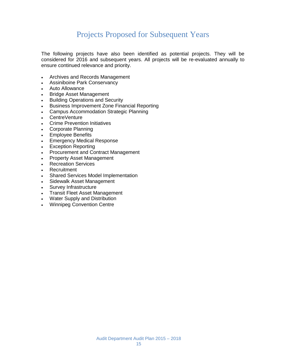# Projects Proposed for Subsequent Years

The following projects have also been identified as potential projects. They will be considered for 2016 and subsequent years. All projects will be re-evaluated annually to ensure continued relevance and priority.

- Archives and Records Management
- Assiniboine Park Conservancy
- Auto Allowance
- Bridge Asset Management
- Building Operations and Security
- Business Improvement Zone Financial Reporting
- Campus Accommodation Strategic Planning
- CentreVenture
- Crime Prevention Initiatives
- Corporate Planning
- Employee Benefits
- Emergency Medical Response
- Exception Reporting
- Procurement and Contract Management
- Property Asset Management
- Recreation Services
- Recruitment
- Shared Services Model Implementation
- Sidewalk Asset Management
- Survey Infrastructure
- Transit Fleet Asset Management
- Water Supply and Distribution
- Winnipeg Convention Centre